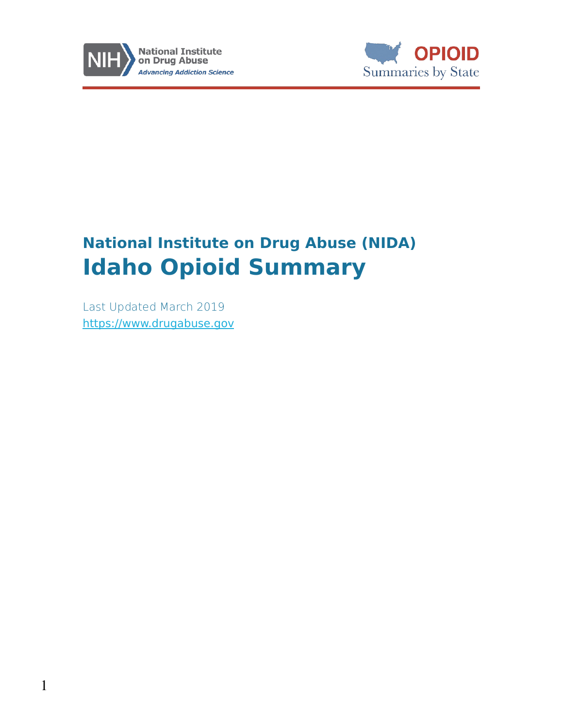



# **National Institute on Drug Abuse (NIDA) Idaho Opioid Summary**

Last Updated March 2019 [https://www.drugabuse.gov](https://www.drugabuse.gov/)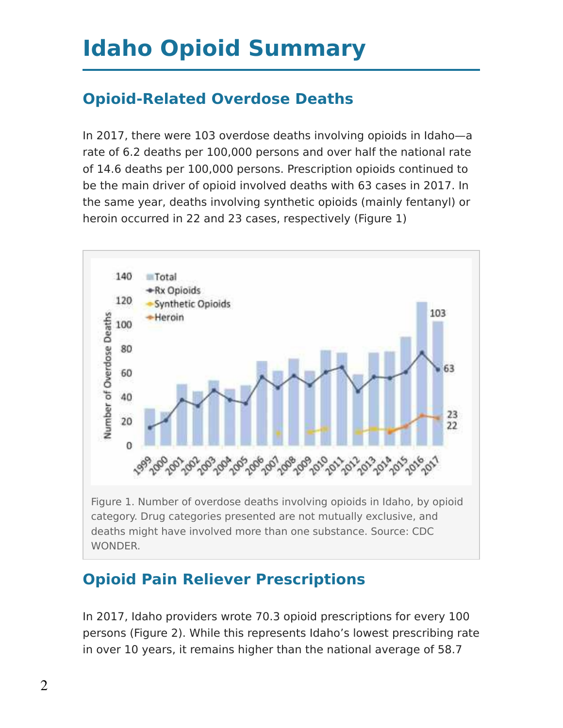# **Idaho Opioid Summary**

## **Opioid-Related Overdose Deaths**

In 2017, there were 103 overdose deaths involving opioids in Idaho—a rate of 6.2 deaths per 100,000 persons and over half the national rate of 14.6 deaths per 100,000 persons. Prescription opioids continued to be the main driver of opioid involved deaths with 63 cases in 2017. In the same year, deaths involving synthetic opioids (mainly fentanyl) or heroin occurred in 22 and 23 cases, respectively (Figure 1)



## **Opioid Pain Reliever Prescriptions**

In 2017, Idaho providers wrote 70.3 opioid prescriptions for every 100 persons (Figure 2). While this represents Idaho's lowest prescribing rate in over 10 years, it remains higher than the national average of 58.7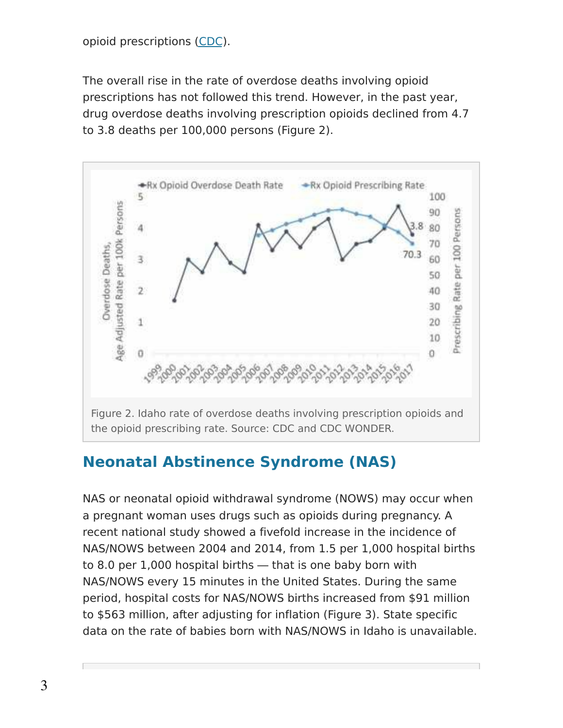#### opioid prescriptions [\(CDC\)](https://www.cdc.gov/drugoverdose/maps/rxrate-maps.html).

The overall rise in the rate of overdose deaths involving opioid prescriptions has not followed this trend. However, in the past year, drug overdose deaths involving prescription opioids declined from 4.7 to 3.8 deaths per 100,000 persons (Figure 2).



#### **Neonatal Abstinence Syndrome (NAS)**

NAS or neonatal opioid withdrawal syndrome (NOWS) may occur when a pregnant woman uses drugs such as opioids during pregnancy. A recent national study showed a fivefold increase in the incidence of NAS/NOWS between 2004 and 2014, from 1.5 per 1,000 hospital births to 8.0 per 1,000 hospital births ― that is one baby born with NAS/NOWS every 15 minutes in the United States. During the same period, hospital costs for NAS/NOWS births increased from \$91 million to \$563 million, after adjusting for inflation (Figure 3). State specific data on the rate of babies born with NAS/NOWS in Idaho is unavailable.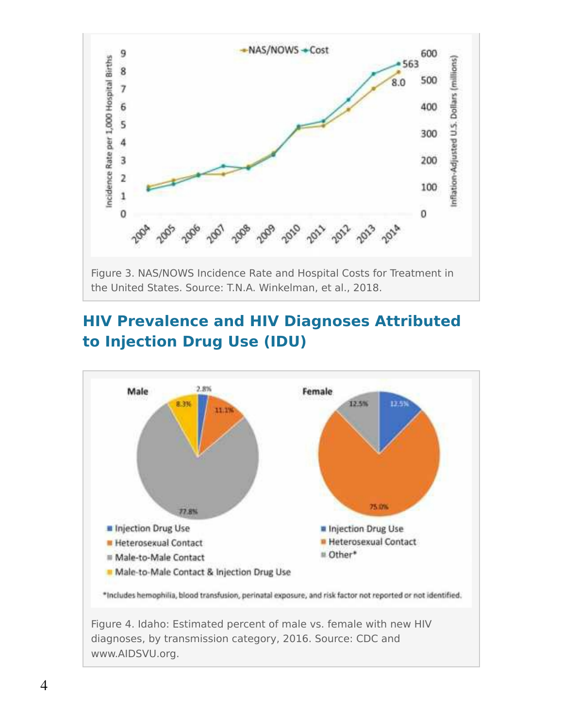

the United States. Source: T.N.A. Winkelman, et al., 2018.

## **HIV Prevalence and HIV Diagnoses Attributed to Injection Drug Use (IDU)**



www.AIDSVU.org.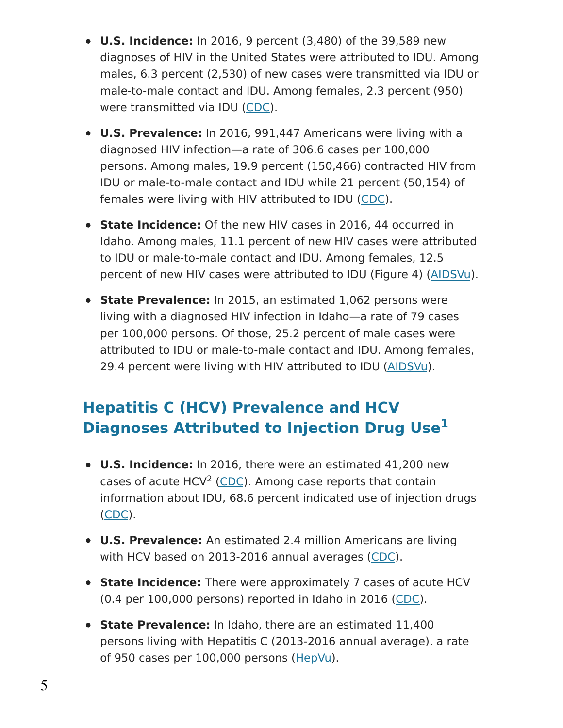- **U.S. Incidence:** In 2016, 9 percent (3,480) of the 39,589 new diagnoses of HIV in the United States were attributed to IDU. Among males, 6.3 percent (2,530) of new cases were transmitted via IDU or male-to-male contact and IDU. Among females, 2.3 percent (950) were transmitted via IDU [\(CDC\)](https://www.cdc.gov/hiv/pdf/library/reports/surveillance/cdc-hiv-surveillance-report-2017-vol-29.pdf).
- **U.S. Prevalence:** In 2016, 991,447 Americans were living with a diagnosed HIV infection—a rate of 306.6 cases per 100,000 persons. Among males, 19.9 percent (150,466) contracted HIV from IDU or male-to-male contact and IDU while 21 percent (50,154) of females were living with HIV attributed to IDU [\(CDC\)](https://www.cdc.gov/hiv/pdf/library/reports/surveillance/cdc-hiv-surveillance-report-2017-vol-29.pdf).
- **State Incidence:** Of the new HIV cases in 2016, 44 occurred in Idaho. Among males, 11.1 percent of new HIV cases were attributed to IDU or male-to-male contact and IDU. Among females, 12.5 percent of new HIV cases were attributed to IDU (Figure 4) [\(AIDSVu\)](https://aidsvu.org/state/idaho/).
- **State Prevalence:** In 2015, an estimated 1,062 persons were living with a diagnosed HIV infection in Idaho—a rate of 79 cases per 100,000 persons. Of those, 25.2 percent of male cases were attributed to IDU or male-to-male contact and IDU. Among females, 29.4 percent were living with HIV attributed to IDU [\(AIDSVu\)](https://aidsvu.org/state/idaho/).

## **Hepatitis C (HCV) Prevalence and HCV Diagnoses Attributed to Injection Drug Use 1**

- **U.S. Incidence:** In 2016, there were an estimated 41,200 new cases of acute HCV<sup>2</sup> [\(CDC\)](https://www.cdc.gov/hepatitis/statistics/DiseaseBurden.htm). Among case reports that contain information about IDU, 68.6 percent indicated use of injection drugs [\(CDC\)](https://www.cdc.gov/hepatitis/statistics/2016surveillance/commentary.htm).
- **U.S. Prevalence:** An estimated 2.4 million Americans are living with HCV based on 2013-2016 annual averages [\(CDC\)](https://www.cdc.gov/hepatitis/hcv/hcvfaq.htm#section1).
- **State Incidence:** There were approximately 7 cases of acute HCV (0.4 per 100,000 persons) reported in Idaho in 2016 [\(CDC\)](https://www.cdc.gov/hepatitis/statistics/2016surveillance/index.htm).
- **State Prevalence:** In Idaho, there are an estimated 11,400 persons living with Hepatitis C (2013-2016 annual average), a rate of 950 cases per 100,000 persons [\(HepVu\)](https://hepvu.org/state/idaho/).